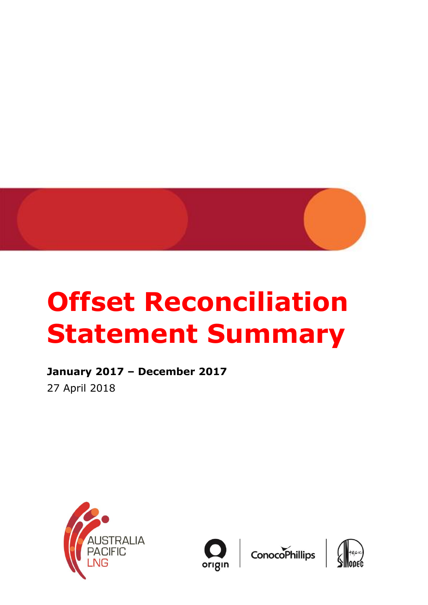

## **Offset Reconciliation Statement Summary**

**January 2017 – December 2017** 27 April 2018







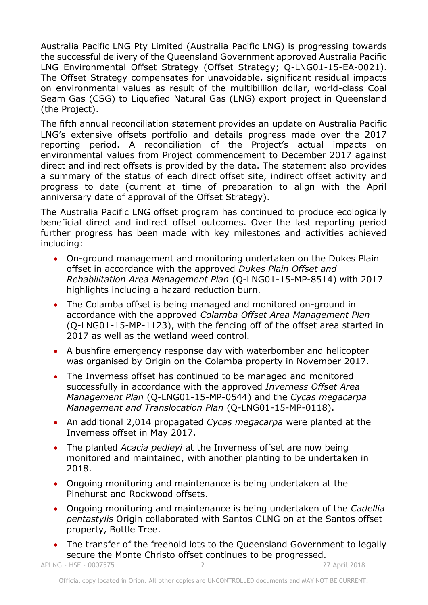Australia Pacific LNG Pty Limited (Australia Pacific LNG) is progressing towards the successful delivery of the Queensland Government approved Australia Pacific LNG Environmental Offset Strategy (Offset Strategy; Q-LNG01-15-EA-0021). The Offset Strategy compensates for unavoidable, significant residual impacts on environmental values as result of the multibillion dollar, world-class Coal Seam Gas (CSG) to Liquefied Natural Gas (LNG) export project in Queensland (the Project).

The fifth annual reconciliation statement provides an update on Australia Pacific LNG's extensive offsets portfolio and details progress made over the 2017 reporting period. A reconciliation of the Project's actual impacts on environmental values from Project commencement to December 2017 against direct and indirect offsets is provided by the data. The statement also provides a summary of the status of each direct offset site, indirect offset activity and progress to date (current at time of preparation to align with the April anniversary date of approval of the Offset Strategy).

The Australia Pacific LNG offset program has continued to produce ecologically beneficial direct and indirect offset outcomes. Over the last reporting period further progress has been made with key milestones and activities achieved including:

- On-ground management and monitoring undertaken on the Dukes Plain offset in accordance with the approved *Dukes Plain Offset and Rehabilitation Area Management Plan* (Q-LNG01-15-MP-8514) with 2017 highlights including a hazard reduction burn.
- The Colamba offset is being managed and monitored on-ground in accordance with the approved *Colamba Offset Area Management Plan*  (Q-LNG01-15-MP-1123), with the fencing off of the offset area started in 2017 as well as the wetland weed control.
- A bushfire emergency response day with waterbomber and helicopter was organised by Origin on the Colamba property in November 2017.
- The Inverness offset has continued to be managed and monitored successfully in accordance with the approved *Inverness Offset Area Management Plan* (Q-LNG01-15-MP-0544) and the *Cycas megacarpa Management and Translocation Plan* (Q-LNG01-15-MP-0118).
- An additional 2,014 propagated *Cycas megacarpa* were planted at the Inverness offset in May 2017.
- The planted *Acacia pedleyi* at the Inverness offset are now being monitored and maintained, with another planting to be undertaken in 2018.
- Ongoing monitoring and maintenance is being undertaken at the Pinehurst and Rockwood offsets.
- Ongoing monitoring and maintenance is being undertaken of the *Cadellia pentastylis* Origin collaborated with Santos GLNG on at the Santos offset property, Bottle Tree.
- The transfer of the freehold lots to the Queensland Government to legally secure the Monte Christo offset continues to be progressed.

APLNG - HSE - 0007575 2 27 April 2018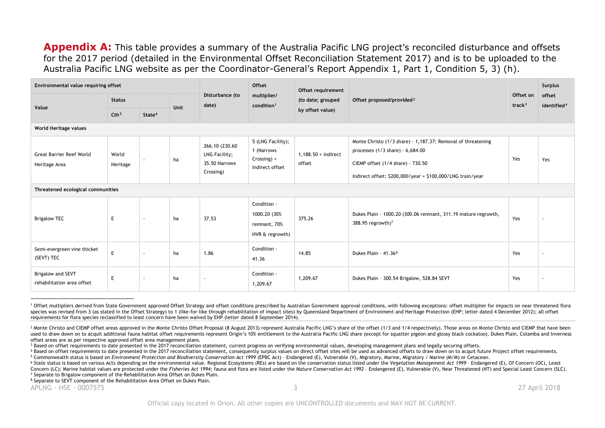**Appendix A:** This table provides a summary of the Australia Pacific LNG project's reconciled disturbance and offsets for the 2017 period (detailed in the Environmental Offset Reconciliation Statement 2017) and is to be uploaded to the Australia Pacific LNG website as per the Coordinator-General's Report Appendix 1, Part 1, Condition 5, 3) (h).

| Environmental value requiring offset             |                   |                          |      | Offset                                                        | Offset requirement                                                |                                 |                                                                                                                                                                                                               | <b>Surplus</b>         |                                   |
|--------------------------------------------------|-------------------|--------------------------|------|---------------------------------------------------------------|-------------------------------------------------------------------|---------------------------------|---------------------------------------------------------------------------------------------------------------------------------------------------------------------------------------------------------------|------------------------|-----------------------------------|
| Value                                            | <b>Status</b>     |                          |      | Disturbance (to<br>date)                                      | multiplier/<br>condition <sup>1</sup>                             | (to date; grouped               | Offset proposed/provided <sup>2</sup>                                                                                                                                                                         | Offset on<br>track $3$ | offset<br>identified <sup>4</sup> |
|                                                  | Cth <sup>5</sup>  | State <sup>6</sup>       | Unit |                                                               |                                                                   | by offset value)                |                                                                                                                                                                                                               |                        |                                   |
| World Heritage values                            |                   |                          |      |                                                               |                                                                   |                                 |                                                                                                                                                                                                               |                        |                                   |
| <b>Great Barrier Reef World</b><br>Heritage Area | World<br>Heritage | $\sim$                   | ha   | 266.10 (230.60<br>LNG Facility;<br>35.50 Narrows<br>Crossing) | 5 (LNG Facility);<br>1 (Narrows<br>Crossing) +<br>Indirect offset | $1,188.50 +$ indirect<br>offset | Monte Christo (1/3 share) - 1,187.37; Removal of threatening<br>processes $(1/3 \text{ share}) - 6,684.00$<br>CIEMP offset (1/4 share) - 730.50<br>Indirect offset: \$200,000/year + \$100,000/LNG train/year | Yes                    | Yes                               |
| Threatened ecological communities                |                   |                          |      |                                                               |                                                                   |                                 |                                                                                                                                                                                                               |                        |                                   |
| <b>Brigalow TEC</b>                              | E                 | $\sim$                   | ha   | 37.53                                                         | Condition -<br>1000.20 (30%<br>remnant, 70%<br>HVR & regrowth)    | 375.26                          | Dukes Plain - 1000.20 (300.06 remnant, 311.19 mature regrowth,<br>388.95 regrowth)7                                                                                                                           | Yes                    |                                   |
| Semi-evergreen vine thicket<br>(SEVT) TEC        | E                 | $\overline{\phantom{a}}$ | ha   | 1.86                                                          | Condition -<br>41.36                                              | 14.85                           | Dukes Plain - 41.368                                                                                                                                                                                          | Yes                    |                                   |
| Brigalow and SEVT<br>rehabilitation area offset  | E                 | $\sim$                   | ha   | $\overline{\phantom{a}}$                                      | Condition -<br>1,209.67                                           | 1,209.67                        | Dukes Plain - 300.54 Brigalow, 528.84 SEVT                                                                                                                                                                    | Yes                    |                                   |

 $\overline{a}$ <sup>1</sup> Offset multipliers derived from State Government approved Offset Strategy and offset conditions prescribed by Australian Government approval conditions, with following exceptions: offset multiplier for impacts on near species was revised from 3 (as stated in the Offset Strategy) to 1 (like-for-like through rehabilitation of impact sites) by Queensland Department of Environment and Heritage Protection (EHP; letter dated 4 December 2012); requirements for flora species reclassified to least concern have been waived by EHP (letter dated 8 September 2014).

<sup>8</sup> Separate to SEVT component of the Rehabilitation Area Offset on Dukes Plain.

APLNG - HSE - 0007575 3 27 April 2018

<sup>&</sup>lt;sup>2</sup> Monte Christo and CIEMP offset areas approved in the Monte Christo Offset Proposal (8 August 2013) represent Australia Pacific LNG's share of the offset (1/3 and 1/4 respectively). Those areas on Monte Christo and CIEM used to draw down on to acquit additional fauna habitat offset requirements represent Origin's 10% entitlement to the Australia Pacific LNG share (except for squatter pigeon and glossy black cockatoo). Dukes Plain, Colamba offset areas are as per respective approved offset area management plans.

<sup>&</sup>lt;sup>3</sup> Based on offset requirements to date presented in the 2017 reconciliation statement, current progress on verifying environmental values, developing management plans and legally securing offsets.

<sup>4</sup> Based on offset requirements to date presented in the 2017 reconciliation statement, consequently surplus values on direct offset sites will be used as advanced offsets to draw down on to acquit future Project offset req <sup>5</sup> Commonwealth status is based on *Environment Protection and Biodiversity Conservation Act 1999* (EPBC Act) – Endangered (E), Vulnerable (V), Migratory, Marine, Migratory / Marine (M/M) or Cetacean.

<sup>&</sup>lt;sup>6</sup> State status is based on various Acts depending on the environmental value. Regional Ecosystems (REs) are based on the conservation status listed under the Vegetation Management Act 1999 - Endangered (E). Of Concern (O Concern (LC); Marine habitat values are protected under the Fisheries Act 1994; fauna and flora are listed under the Nature Conservation Act 1992 - Endangered (E), Vulnerable (V), Near Threatened (NT) and Special Least Con <sup>7</sup> Separate to Brigalow component of the Rehabilitation Area Offset on Dukes Plain.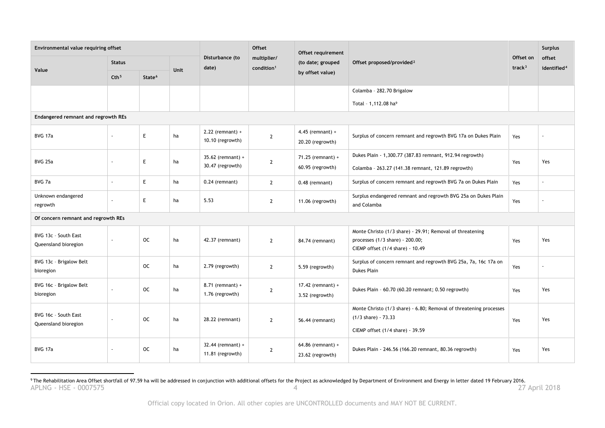| Environmental value requiring offset         |                          |                    |      | Offset                                  | Offset requirement                    |                                         |                                                                                                                                         | <b>Surplus</b>         |                                   |
|----------------------------------------------|--------------------------|--------------------|------|-----------------------------------------|---------------------------------------|-----------------------------------------|-----------------------------------------------------------------------------------------------------------------------------------------|------------------------|-----------------------------------|
| Value                                        | <b>Status</b>            |                    |      | Disturbance (to<br>date)                | multiplier/<br>condition <sup>1</sup> | (to date; grouped                       | Offset proposed/provided <sup>2</sup>                                                                                                   | Offset on<br>track $3$ | offset<br>identified <sup>4</sup> |
|                                              | Cth <sup>5</sup>         | State <sup>6</sup> | Unit |                                         |                                       | by offset value)                        |                                                                                                                                         |                        |                                   |
|                                              |                          |                    |      |                                         |                                       |                                         | Colamba - 282.70 Brigalow                                                                                                               |                        |                                   |
|                                              |                          |                    |      |                                         |                                       |                                         | Total - 1,112.08 ha <sup>9</sup>                                                                                                        |                        |                                   |
| Endangered remnant and regrowth REs          |                          |                    |      |                                         |                                       |                                         |                                                                                                                                         |                        |                                   |
| <b>BVG 17a</b>                               | $\overline{\phantom{a}}$ | E                  | ha   | $2.22$ (remnant) +<br>10.10 (regrowth)  | $\mathbf{2}$                          | $4.45$ (remnant) +<br>20.20 (regrowth)  | Surplus of concern remnant and regrowth BVG 17a on Dukes Plain                                                                          | Yes                    |                                   |
| <b>BVG 25a</b>                               | ÷,                       | E                  | ha   | 35.62 (remnant) +                       |                                       | 71.25 (remnant) +                       | Dukes Plain - 1,300.77 (387.83 remnant, 912.94 regrowth)                                                                                |                        | Yes                               |
|                                              |                          |                    |      | 30.47 (regrowth)                        | $\overline{2}$                        | 60.95 (regrowth)                        | Colamba - 263.27 (141.38 remnant, 121.89 regrowth)                                                                                      | Yes                    |                                   |
| BVG 7a                                       | ÷.                       | E                  | ha   | $0.24$ (remnant)                        | $\overline{2}$                        | $0.48$ (remnant)                        | Surplus of concern remnant and regrowth BVG 7a on Dukes Plain                                                                           | Yes                    |                                   |
| Unknown endangered<br>regrowth               |                          | E                  | ha   | 5.53                                    | $\mathbf{2}$                          | 11.06 (regrowth)                        | Surplus endangered remnant and regrowth BVG 25a on Dukes Plain<br>and Colamba                                                           | Yes                    |                                   |
| Of concern remnant and regrowth REs          |                          |                    |      |                                         |                                       |                                         |                                                                                                                                         |                        |                                   |
| BVG 13c - South East<br>Queensland bioregion |                          | <b>OC</b>          | ha   | 42.37 (remnant)                         | $\overline{2}$                        | 84.74 (remnant)                         | Monte Christo (1/3 share) - 29.91; Removal of threatening<br>processes (1/3 share) - 200.00;<br>CIEMP offset (1/4 share) - 10.49        | Yes                    | Yes                               |
| BVG 13c - Brigalow Belt<br>bioregion         |                          | <sub>OC</sub>      | ha   | 2.79 (regrowth)                         | $\overline{2}$                        | 5.59 (regrowth)                         | Surplus of concern remnant and regrowth BVG 25a, 7a, 16c 17a on<br>Dukes Plain                                                          | Yes                    |                                   |
| BVG 16c - Brigalow Belt<br>bioregion         |                          | <b>OC</b>          | ha   | $8.71$ (remnant) +<br>1.76 (regrowth)   | $\mathbf{2}$                          | 17.42 (remnant) $+$<br>3.52 (regrowth)  | Dukes Plain - 60.70 (60.20 remnant; 0.50 regrowth)                                                                                      | Yes                    | Yes                               |
| BVG 16c - South East<br>Queensland bioregion |                          | <b>OC</b>          | ha   | 28.22 (remnant)                         | $\mathbf{2}$                          | 56.44 (remnant)                         | Monte Christo (1/3 share) - 6.80; Removal of threatening processes<br>$(1/3 \text{ share}) - 73.33$<br>CIEMP offset (1/4 share) - 39.59 | Yes                    | Yes                               |
| <b>BVG 17a</b>                               | $\overline{\phantom{a}}$ | <b>OC</b>          | ha   | $32.44$ (remnant) +<br>11.81 (regrowth) | $\overline{2}$                        | $64.86$ (remnant) +<br>23.62 (regrowth) | Dukes Plain - 246.56 (166.20 remnant, 80.36 regrowth)                                                                                   | Yes                    | Yes                               |

APLNG - HSE - 0007575 27 April 2018 <sup>9</sup> The Rehabilitation Area Offset shortfall of 97.59 ha will be addressed in conjunction with additional offsets for the Project as acknowledged by Department of Environment and Energy in letter dated 19 February 2016.

 $\overline{a}$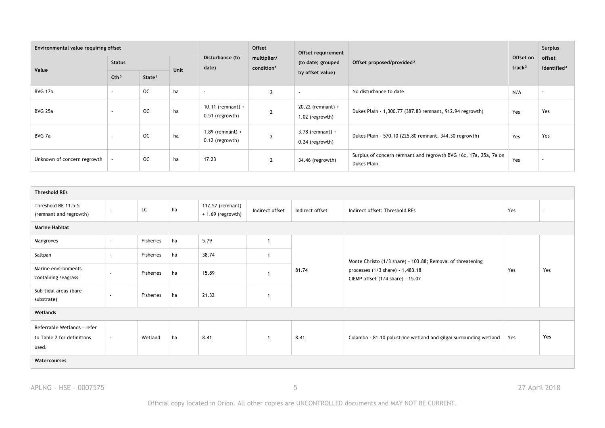| Environmental value requiring offset |                          |                    |      | Offset<br>Offset requirement                                      |                   | Offset on                                          | <b>Surplus</b>                                                                  |                                   |                          |
|--------------------------------------|--------------------------|--------------------|------|-------------------------------------------------------------------|-------------------|----------------------------------------------------|---------------------------------------------------------------------------------|-----------------------------------|--------------------------|
| Value                                | <b>Status</b>            |                    | Unit | Disturbance (to<br>multiplier/<br>date)<br>condition <sup>1</sup> | (to date; grouped | Offset proposed/provided <sup>2</sup><br>track $3$ |                                                                                 | offset<br>identified <sup>4</sup> |                          |
|                                      | Cth <sup>5</sup>         | State <sup>6</sup> |      |                                                                   |                   | by offset value)                                   |                                                                                 |                                   |                          |
| <b>BVG 17b</b>                       | $\overline{\phantom{a}}$ | <b>OC</b>          | ha   | $\overline{\phantom{a}}$                                          |                   | $\sim$                                             | No disturbance to date                                                          | N/A                               | $\overline{\phantom{a}}$ |
| <b>BVG 25a</b>                       |                          | <b>OC</b>          | ha   | 10.11 (remnant) +<br>0.51 (regrowth)                              |                   | 20.22 (remnant) +<br>1.02 (regrowth)               | Dukes Plain - 1,300.77 (387.83 remnant, 912.94 regrowth)                        | Yes                               | Yes                      |
| BVG 7a                               |                          | <b>OC</b>          | ha   | $1.89$ (remnant) +<br>0.12 (regrowth)                             |                   | $3.78$ (remnant) +<br>0.24 (regrowth)              | Dukes Plain - 570.10 (225.80 remnant, 344.30 regrowth)                          | Yes                               | Yes                      |
| Unknown of concern regrowth          |                          | <b>OC</b>          | ha   | 17.23                                                             |                   | 34.46 (regrowth)                                   | Surplus of concern remnant and regrowth BVG 16c, 17a, 25a, 7a on<br>Dukes Plain | Yes                               |                          |

| <b>Threshold REs</b>                                               |                          |           |    |                                       |                         |                 |                                                                                                                                    |     |                          |  |  |
|--------------------------------------------------------------------|--------------------------|-----------|----|---------------------------------------|-------------------------|-----------------|------------------------------------------------------------------------------------------------------------------------------------|-----|--------------------------|--|--|
| Threshold RE 11.5.5<br>(remnant and regrowth)                      | $\sim$                   | LC        | ha | 112.57 (remnant)<br>+ 1.69 (regrowth) | Indirect offset         | Indirect offset | Indirect offset: Threshold REs                                                                                                     | Yes | $\overline{\phantom{a}}$ |  |  |
| <b>Marine Habitat</b>                                              |                          |           |    |                                       |                         |                 |                                                                                                                                    |     |                          |  |  |
| Mangroves                                                          | $\sim$                   | Fisheries | ha | 5.79                                  | $\overline{\mathbf{1}}$ |                 | Monte Christo (1/3 share) - 103.88; Removal of threatening<br>processes (1/3 share) - 1,483.18<br>CIEMP offset (1/4 share) - 15.07 | Yes | Yes                      |  |  |
| Saltpan                                                            | $\sim$                   | Fisheries | ha | 38.74                                 |                         | 81.74           |                                                                                                                                    |     |                          |  |  |
| Marine environments<br>containing seagrass                         | $\overline{\phantom{a}}$ | Fisheries | ha | 15.89                                 |                         |                 |                                                                                                                                    |     |                          |  |  |
| Sub-tidal areas (bare<br>substrate)                                | $\overline{\phantom{a}}$ | Fisheries | ha | 21.32                                 |                         |                 |                                                                                                                                    |     |                          |  |  |
| Wetlands                                                           |                          |           |    |                                       |                         |                 |                                                                                                                                    |     |                          |  |  |
| Referrable Wetlands - refer<br>to Table 2 for definitions<br>used. | $\sim$                   | Wetland   | ha | 8.41                                  |                         | 8.41            | Colamba - 81.10 palustrine wetland and gilgai surrounding wetland                                                                  | Yes | Yes                      |  |  |
| Watercourses                                                       |                          |           |    |                                       |                         |                 |                                                                                                                                    |     |                          |  |  |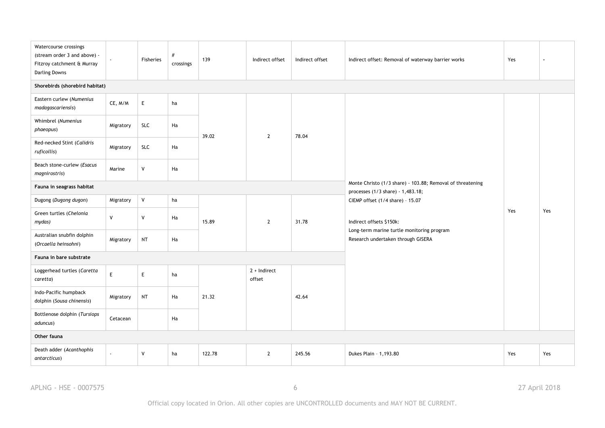| Watercourse crossings<br>(stream order 3 and above) -<br>Fitzroy catchment & Murray<br><b>Darling Downs</b> | ÷.           | Fisheries    | #<br>crossings | 139    | Indirect offset          | Indirect offset                                                                                 | Indirect offset: Removal of waterway barrier works                                                                                               | Yes | $\blacksquare$ |
|-------------------------------------------------------------------------------------------------------------|--------------|--------------|----------------|--------|--------------------------|-------------------------------------------------------------------------------------------------|--------------------------------------------------------------------------------------------------------------------------------------------------|-----|----------------|
| Shorebirds (shorebird habitat)                                                                              |              |              |                |        |                          |                                                                                                 |                                                                                                                                                  |     |                |
| Eastern curlew (Numenius<br>madagascariensis)                                                               | CE, M/M      | $\mathsf E$  | ha             | 39.02  |                          |                                                                                                 |                                                                                                                                                  |     |                |
| Whimbrel (Numenius<br>phaeopus)                                                                             | Migratory    | <b>SLC</b>   | Ha             |        | $\overline{2}$           | 78.04                                                                                           |                                                                                                                                                  |     |                |
| Red-necked Stint (Calidris<br>ruficollis)                                                                   | Migratory    | <b>SLC</b>   | Ha             |        |                          |                                                                                                 |                                                                                                                                                  |     |                |
| Beach stone-curlew (Esacus<br>magnirostris)                                                                 | Marine       | $\mathsf{V}$ | Ha             |        |                          |                                                                                                 |                                                                                                                                                  |     |                |
| Fauna in seagrass habitat                                                                                   |              |              |                |        |                          | Monte Christo (1/3 share) - 103.88; Removal of threatening<br>processes (1/3 share) - 1,483.18; |                                                                                                                                                  |     |                |
| Dugong (Dugong dugon)                                                                                       | Migratory    | $\mathsf{V}$ | ha             | 15.89  | $\overline{2}$           | 31.78                                                                                           | CIEMP offset (1/4 share) - 15.07<br>Indirect offsets \$150k:<br>Long-term marine turtle monitoring program<br>Research undertaken through GISERA | Yes | Yes            |
| Green turtles (Chelonia<br>mydas)                                                                           | V            | $\mathsf{v}$ | Ha             |        |                          |                                                                                                 |                                                                                                                                                  |     |                |
| Australian snubfin dolphin<br>(Orcaella heinsohni)                                                          | Migratory    | $\sf{NT}$    | Ha             |        |                          |                                                                                                 |                                                                                                                                                  |     |                |
| Fauna in bare substrate                                                                                     |              |              |                |        |                          |                                                                                                 |                                                                                                                                                  |     |                |
| Loggerhead turtles (Caretta<br>caretta)                                                                     | E.           | $\mathsf E$  | ha             |        | $2 + Indirect$<br>offset |                                                                                                 |                                                                                                                                                  |     |                |
| Indo-Pacific humpback<br>dolphin (Sousa chinensis)                                                          | Migratory    | <b>NT</b>    | Ha             | 21.32  |                          | 42.64                                                                                           |                                                                                                                                                  |     |                |
| Bottlenose dolphin (Tursiops<br>aduncus)                                                                    | Cetacean     |              | Ha             |        |                          |                                                                                                 |                                                                                                                                                  |     |                |
| Other fauna                                                                                                 |              |              |                |        |                          |                                                                                                 |                                                                                                                                                  |     |                |
| Death adder (Acanthophis<br>antarcticus)                                                                    | $\mathbf{r}$ | $\mathsf{V}$ | ha             | 122.78 | $\overline{2}$           | 245.56                                                                                          | Dukes Plain - 1,193.80                                                                                                                           | Yes | Yes            |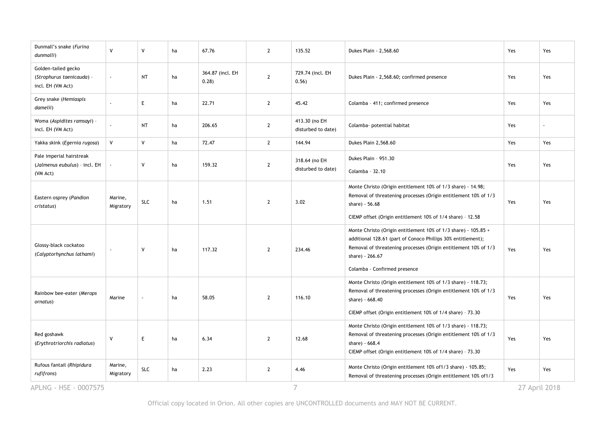| Dunmall's snake (Furina<br>dunmalli)                                  | V                        | $\mathsf{V}$  | ha | 67.76                     | $\overline{2}$ | 135.52                              | Dukes Plain - 2,568.60                                                                                                                                                                                                                               | Yes | Yes    |
|-----------------------------------------------------------------------|--------------------------|---------------|----|---------------------------|----------------|-------------------------------------|------------------------------------------------------------------------------------------------------------------------------------------------------------------------------------------------------------------------------------------------------|-----|--------|
| Golden-tailed gecko<br>(Strophurus taenicauda) -<br>incl. EH (VM Act) | $\mathcal{L}$            | <b>NT</b>     | ha | 364.87 (incl. EH<br>0.28) | $\overline{2}$ | 729.74 (incl. EH<br>0.56)           | Dukes Plain - 2,568.60; confirmed presence                                                                                                                                                                                                           | Yes | Yes    |
| Grey snake (Hemiaspis<br>damelii)                                     |                          | E             | ha | 22.71                     | $\overline{2}$ | 45.42                               | Colamba - 411; confirmed presence                                                                                                                                                                                                                    | Yes | Yes    |
| Woma (Aspidites ramsayi) -<br>incl. EH (VM Act)                       | ÷.                       | <b>NT</b>     | ha | 206.65                    | $\overline{2}$ | 413.30 (no EH<br>disturbed to date) | Colamba- potential habitat                                                                                                                                                                                                                           | Yes | $\sim$ |
| Yakka skink (Egernia rugosa)                                          | $\mathsf{V}$             | $\mathsf{V}$  | ha | 72.47                     | $\overline{2}$ | 144.94                              | Dukes Plain 2,568.60                                                                                                                                                                                                                                 | Yes | Yes    |
| Pale imperial hairstreak<br>(Jalmenus eubulus) - incl. EH<br>(VM Act) | $\overline{\phantom{a}}$ | V             | ha | 159.32                    | $\overline{2}$ | 318.64 (no EH<br>disturbed to date) | Dukes Plain - 951.30<br>Colamba - 32.10                                                                                                                                                                                                              | Yes | Yes    |
| Eastern osprey (Pandion<br>cristatus)                                 | Marine,<br>Migratory     | <b>SLC</b>    | ha | 1.51                      | $\overline{2}$ | 3.02                                | Monte Christo (Origin entitlement 10% of 1/3 share) - 14.98;<br>Removal of threatening processes (Origin entitlement 10% of 1/3<br>share) - 56.68<br>CIEMP offset (Origin entitlement 10% of 1/4 share) - 12.58                                      | Yes | Yes    |
| Glossy-black cockatoo<br>(Calyptorhynchus lathami)                    | $\sim$                   | $\mathsf{V}$  | ha | 117.32                    | $\overline{2}$ | 234.46                              | Monte Christo (Origin entitlement 10% of 1/3 share) - 105.85 +<br>additional 128.61 (part of Conoco Phillips 30% entitlement);<br>Removal of threatening processes (Origin entitlement 10% of 1/3<br>share) - 266.67<br>Colamba - Confirmed presence | Yes | Yes    |
| Rainbow bee-eater (Merops<br>ornatus)                                 | Marine                   | $\mathcal{L}$ | ha | 58.05                     | $\overline{2}$ | 116.10                              | Monte Christo (Origin entitlement 10% of 1/3 share) - 118.73;<br>Removal of threatening processes (Origin entitlement 10% of 1/3<br>share) - 668.40<br>CIEMP offset (Origin entitlement 10% of 1/4 share) - 73.30                                    | Yes | Yes    |
| Red goshawk<br>(Erythrotriorchis radiatus)                            | V                        | E             | ha | 6.34                      | $\overline{2}$ | 12.68                               | Monte Christo (Origin entitlement 10% of 1/3 share) - 118.73;<br>Removal of threatening processes (Origin entitlement 10% of 1/3<br>share) - 668.4<br>CIEMP offset (Origin entitlement 10% of 1/4 share) - 73.30                                     | Yes | Yes    |
| Rufous fantail (Rhipidura<br>rufifrons)                               | Marine,<br>Migratory     | <b>SLC</b>    | ha | 2.23                      | $\overline{2}$ | 4.46                                | Monte Christo (Origin entitlement 10% of 1/3 share) - 105.85;<br>Removal of threatening processes (Origin entitlement 10% of 1/3                                                                                                                     | Yes | Yes    |
| APLNG - HSE - 0007575                                                 |                          |               |    |                           |                | $\overline{7}$<br>27 April 2018     |                                                                                                                                                                                                                                                      |     |        |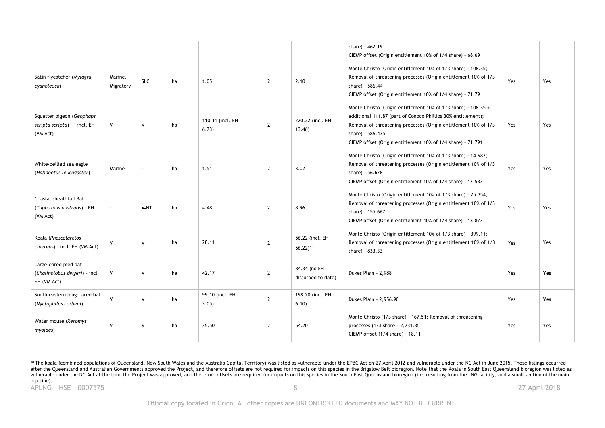|                                                                        |                      |              |    |                           |                |                                    | share) - 462.19<br>CIEMP offset (Origin entitlement 10% of 1/4 share) - 68.69                                                                                                                                                                                                        |     |     |
|------------------------------------------------------------------------|----------------------|--------------|----|---------------------------|----------------|------------------------------------|--------------------------------------------------------------------------------------------------------------------------------------------------------------------------------------------------------------------------------------------------------------------------------------|-----|-----|
| Satin flycatcher (Myiagra<br>cyanoleuca)                               | Marine,<br>Migratory | <b>SLC</b>   | ha | 1.05                      | $\overline{2}$ | 2.10                               | Monte Christo (Origin entitlement 10% of 1/3 share) - 108.35;<br>Removal of threatening processes (Origin entitlement 10% of 1/3<br>share) - 586.44<br>CIEMP offset (Origin entitlement 10% of 1/4 share) - 71.79                                                                    | Yes | Yes |
| Squatter pigeon (Geophaps<br>scripta scripta) - - incl. EH<br>(VM Act) | ٧                    | V            | ha | 110.11 (incl. EH<br>6.73) | $\overline{2}$ | 220.22 (incl. EH<br>13.46)         | Monte Christo (Origin entitlement 10% of 1/3 share) - 108.35 +<br>additional 111.87 (part of Conoco Phillips 30% entitlement);<br>Removal of threatening processes (Origin entitlement 10% of 1/3<br>share) - 586.435<br>CIEMP offset (Origin entitlement 10% of 1/4 share) - 71.791 | Yes | Yes |
| White-bellied sea eagle<br>(Haliaeetus leucogaster)                    | Marine               |              | ha | 1.51                      | $\overline{2}$ | 3.02                               | Monte Christo (Origin entitlement 10% of 1/3 share) - 14.982;<br>Removal of threatening processes (Origin entitlement 10% of 1/3<br>share) - 56.678<br>CIEMP offset (Origin entitlement 10% of 1/4 share) - 12.583                                                                   | Yes | Yes |
| Coastal sheathtail Bat<br>(Taphozous australis) - EH<br>(VM Act)       |                      | <b>V-NT</b>  | ha | 4.48                      | $\overline{2}$ | 8.96                               | Monte Christo (Origin entitlement 10% of 1/3 share) - 25.354;<br>Removal of threatening processes (Origin entitlement 10% of 1/3<br>share) - 155.667<br>CIEMP offset (Origin entitlement 10% of 1/4 share) - 13.873                                                                  | Yes | Yes |
| Koala (Phascolarctos<br>cinereus) - incl. EH (VM Act)                  | $\vee$               | $\mathsf{V}$ | ha | 28.11                     | $\overline{2}$ | 56.22 (incl. EH<br>$56.221^{10}$   | Monte Christo (Origin entitlement 10% of 1/3 share) - 399.11;<br>Removal of threatening processes (Origin entitlement 10% of 1/3<br>share) - 833.33                                                                                                                                  | Yes | Yes |
| Large-eared pied bat<br>(Chalinolobus dwyeri) - incl.<br>EH (VM Act)   | v                    | $\mathsf{V}$ | ha | 42.17                     | $\overline{2}$ | 84.34 (no EH<br>disturbed to date) | Dukes Plain - 2,988                                                                                                                                                                                                                                                                  | Yes | Yes |
| South-eastern long-eared bat<br>(Nyctophilus corbeni)                  | $\mathsf{v}$         | $\mathsf{v}$ | ha | 99.10 (incl. EH<br>3.05)  | $\overline{2}$ | 198.20 (incl. EH<br>6.10           | Dukes Plain - 2,956.90                                                                                                                                                                                                                                                               | Yes | Yes |
| Water mouse (Xeromys<br>myoides)                                       | v                    | $\mathsf{V}$ | ha | 35.50                     | $\overline{2}$ | 54.20                              | Monte Christo (1/3 share) - 167.51; Removal of threatening<br>processes (1/3 share) - 2,731.35<br>CIEMP offset (1/4 share) - 18.11                                                                                                                                                   | Yes | Yes |

<sup>&</sup>lt;sup>10</sup> The koala (combined populations of Queensland, New South Wales and the Australia Capital Territory) was listed as vulnerable under the EPBC Act on 27 April 2012 and vulnerable under the NC Act in June 2015. These list after the Queensland and Australian Governments approved the Project, and therefore offsets are not required for impacts on this species in the Brigalow Belt bioregion. Note that the Koala in South East Queensland bioregio vulnerable under the NC Act at the time the Project was approved, and therefore offsets are required for impacts on this species in the South East Queensland bioregion (i.e. resulting from the LNG facility, and a small sec pipeline).

 $\overline{a}$